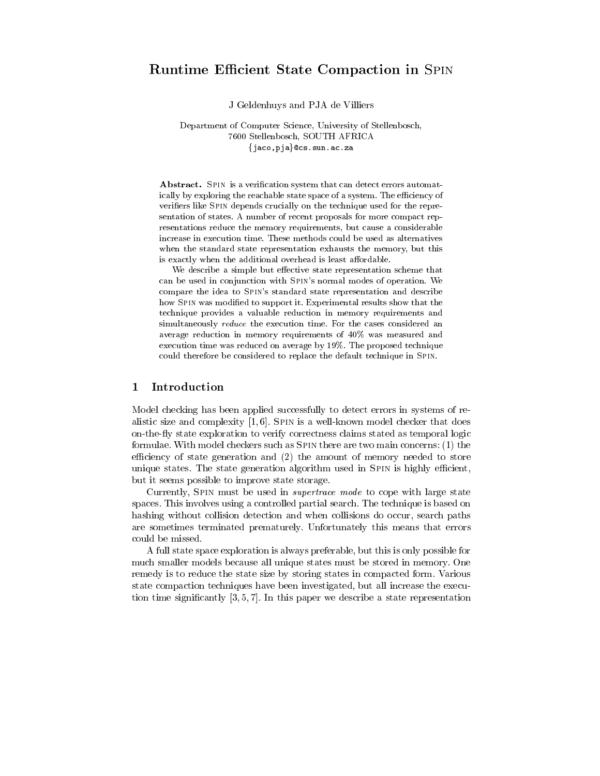# Runtime Efficient State Compaction in SPIN

J Geldenhuys and PJA de Villiers

Department of Computer Science, University of Stellenbosch, 7600 Stellenbosch, SOUTH AFRICA fjaco,pjag@cs.sun.ac.za

Abstract. SPIN is a verification system that can detect errors automatically by exploring the reachable state space of a system. The efficiency of verifiers like SPIN depends crucially on the technique used for the representation of states. A number of recent proposals for more compact rep resentations reduce the memory requirements, but cause a considerable increase in execution time. These methods could be used as alternatives when the standard state representation exhausts the memory, but this is exactly when the additional overhead is least affordable.

We describe a simple but effective state representation scheme that can be used in conjunction with Spin's normal modes of operation. We compare the idea to Spin's standard state representation and describe how SPIN was modified to support it. Experimental results show that the technique provides a valuable reduction in memory requirements and simultaneously reduce the execution time. For the cases considered an average reduction in memory requirements of 40% was measured and execution time was reduced on average by 19%. The proposed technique could therefore be considered to replace the default technique in Spin.

## 1Introduction

Model checking has been applied successfully to detect errors in systems of realistic size and complexity  $[1, 6]$ . Spin is a well-known model checker that does on-the-fly state exploration to verify correctness claims stated as temporal logic formulae. With model checkers such as Spin there are two main concerns: (1) the efficiency of state generation and  $(2)$  the amount of memory needed to store unique states. The state generation algorithm used in SPIN is highly efficient, but it seems possible to improve state storage.

Currently, Spin must be used in supertrace mode to cope with large state spaces. This involves using a controlled partial search. The technique is based on hashing without collision detection and when collisions do occur, search paths are sometimes terminated prematurely. Unfortunately this means that errors could be missed.

A full state space exploration is always preferable, but this is only possible for much smaller models because all unique states must be stored in memory. One remedy is to reduce the state size by storing states in compacted form. Various state compaction techniques have been investigated, but all increase the execution time significantly  $[3, 5, 7]$ . In this paper we describe a state representation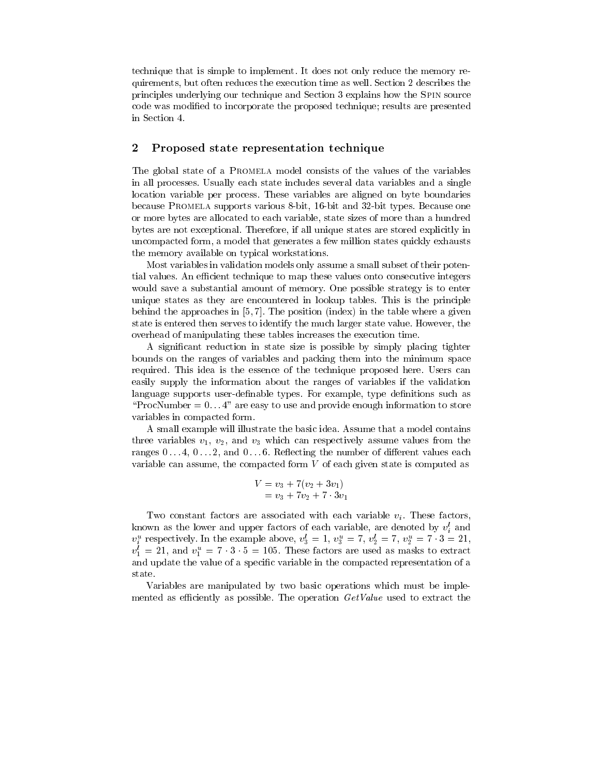technique that is simple to implement. It does not only reduce the memory requirements, but often reduces the execution time as well. Section 2 describes the principles underlying our technique and Section 3 explains how the Spin source code was modied to incorporate the proposed technique; results are presented in Section 4.

# 2Proposed state representation technique

The global state of a Promela model consists of the values of the variables in all processes. Usually each state includes several data variables and a single location variable per process. These variables are aligned on byte boundaries because Promela supports various 8-bit, 16-bit and 32-bit types. Because one or more bytes are allocated to each variable, state sizes of more than a hundred bytes are not exceptional. Therefore, if all unique states are stored explicitly in uncompacted form, a model that generates a few million states quickly exhausts the memory available on typical workstations.

Most variables in validation models only assume a small subset of their potential values. An efficient technique to map these values onto consecutive integers would save a substantial amount of memory. One possible strategy is to enter unique states as they are encountered in lookup tables. This is the principle behind the approaches in [5, 7]. The position (index) in the table where a given state is entered then serves to identify the much larger state value. However, the overhead of manipulating these tables increases the execution time.

A signicant reduction in state size is possible by simply placing tighter bounds on the ranges of variables and packing them into the minimum space required. This idea is the essence of the technique proposed here. Users can easily supply the information about the ranges of variables if the validation language supports user-definable types. For example, type definitions such as "ProcNumber  $= 0, \ldots 4$ " are easy to use and provide enough information to store variables in compacted form.

A small example will illustrate the basic idea. Assume that a model contains three variables  $v_1$ ,  $v_2$ , and  $v_3$  which can respectively assume values from the ranges  $0 \ldots 4, 0 \ldots 2$ , and  $0 \ldots 6$ . Reflecting the number of different values each variable can assume, the compacted form  $V$  of each given state is computed as

$$
V = v_3 + 7(v_2 + 3v_1)
$$
  
= v\_3 + 7v\_2 + 7 \cdot 3v\_1

Two constant factors are associated with each variable  $v_i$ . These factors, known as the lower and upper factors of each variable, are denoted by  $v_i$  and  $v_i^2$  respectively. In the example above,  $v_3 = 1, v_3 = 7, v_2 = 7, v_2 = 7$   $\rightarrow$   $s = 21,$  $v_1 = 21$ , and  $v_1 = 7$   $\cdot$   $\cdot$   $\cdot$   $\cdot$   $\cdot$  = 105. These factors are used as masks to extract and update the value of a specic variable in the compacted representation of a state.

Variables are manipulated by two basic operations which must be implemented as efficiently as possible. The operation  $GetValue$  used to extract the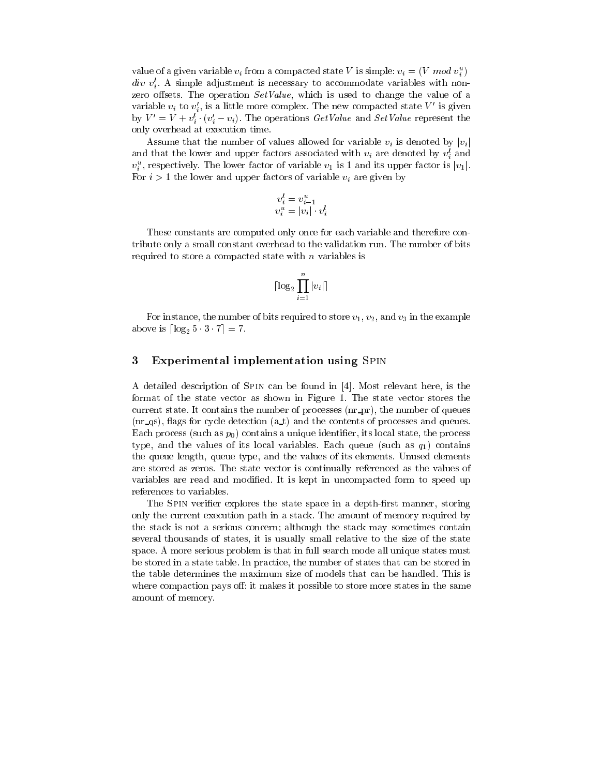value of a given variable  $v_i$  from a compacted state V is simple:  $v_i \equiv (V \mod v_i^*)$  $avv_{i}$ . A simple adjustment is necessary to accommodate variables with nonzero osets. The operation SetValue, which isused to change the value of a variable  $v_i$  to  $v_i$ , is a little more complex. The new compacted state  $V$  is given by  $V = V + v_i \cdot (v_i - v_i)$ . The operations Get value and Set value represent the only overhead at execution time.

Assume that the number of values allowed for variable  $v_i$  is denoted by  $|v_i|$ and that the lower and upper factors associated with  $v_i$  are denoted by  $v_i$  and  $v_i^-,$  respectively. The lower factor of variable  $v_1$  is 1 and its upper factor is  $|v_1|.$  $\mathbf{r} \cdot \mathbf{r}$  is the following appear factors of variable via  $\mathbf{r}$  and  $\mathbf{r}$ 

$$
\begin{array}{l} v_i^l = v_{i-1}^u \\ v_i^u = |v_i| \cdot v_i^l \end{array}
$$

These constants are computed only once for each variable and therefore contribute only a small constant overhead to the validation run. The number of bits required to store a compacted state with  $n$  variables is

$$
\lceil \log_2 \prod_{i=1}^n |v_i|\rceil
$$

For instance, the number of bits required to store  $v_1$ ,  $v_2$ , and  $v_3$  in the example above is  $\lceil \log_2 5 \cdot 3 \cdot 7 \rceil = 7$ .

# 3Experimental implementation using Spin

A detailed description of Spin can be found in [4]. Most relevant here, is the format of the state vector as shown in Figure 1. The state vector stores the current state. It contains the number of processes  $(nr\_pr)$ , the number of queues  $(nr_qs)$ , flags for cycle detection  $(a<sub>+</sub>)$  and the contents of processes and queues. Each process (such as  $p_0$ ) contains a unique identifier, its local state, the process type, and the values of its local variables. Each queue (such as  $q_1$ ) contains the queue length, queue type, and the values of its elements. Unused elements are stored as zeros. The state vector is continually referenced as the values of variables are read and modified. It is kept in uncompacted form to speed up references to variables.

The SPIN verifier explores the state space in a depth-first manner, storing only the current execution path in a stack. The amount of memory required by the stack is not a serious concern; although the stack may sometimes contain several thousands of states, it is usually small relative to the size of the state space. A more serious problem is that in full search mode all unique states must be stored in a state table. In practice, the number of states that can be stored in the table determines the maximum size of models that can be handled. This is where compaction pays off: it makes it possible to store more states in the same amount of memory.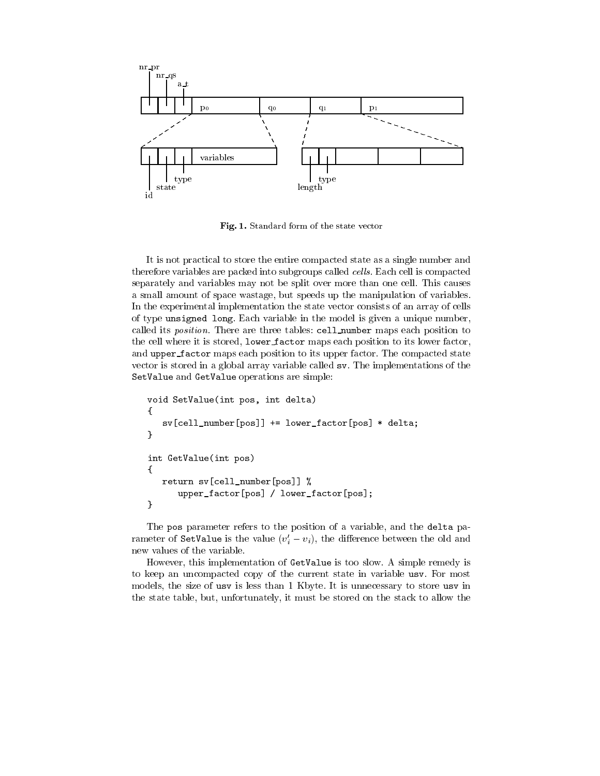

Fig. 1. Standard form of the state vector

It is not practical to store the entire compacted state as a single number and therefore variables are packed into subgroups called cells. Each cell is compacted separately and variables may not be split over more than one cell. This causes a small amount of space wastage, but speeds up the manipulation of variables. In the experimental implementation the state vector consists of an array of cells of type unsigned long. Each variable in the model is given a unique number, called its *position*. There are three tables: cell\_number maps each position to the cell where it is stored, lower factor maps each position to its lower factor, and upper factor maps each position to its upper factor. The compacted state vector is stored in a global array variable called sv. The implementations of the SetValue and GetValue operations are simple:

```
void SetValue(int pos, int delta)
{\bf r} and {\bf r} and {\bf r} and {\bf r} and {\bf r}sv[cell_number[pos]] += lower_factor[pos] * delta;
}
int GetValue(int pos)
{
   return sv[cell_number[pos]] %
       upper_factor[pos] / lower_factor[pos];
}
```
The pos parameter refers to the position of a variable, and the delta parameter of Setvalue is the value  $(v_i - v_i)$ , the difference between the old and new values of the variable.

However, this implementation of GetValue is too slow. A simple remedy is to keep an uncompacted copy of the current state in variable usv. For most models, the size of usv is less than 1 Kbyte. It is unnecessary to store usv in the state table, but, unfortunately, it must be stored on the stack to allow the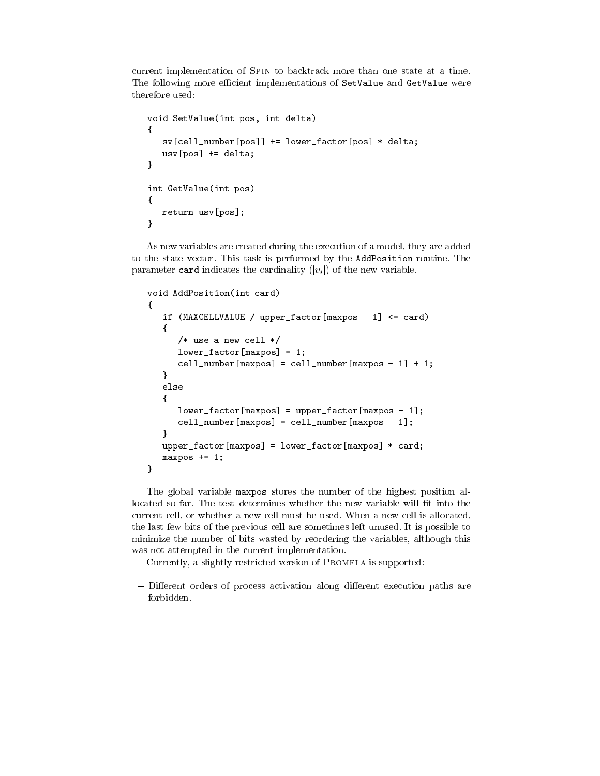current implementation of Spin to backtrack more than one state at a time. The following more efficient implementations of SetValue and GetValue were therefore used:

```
void SetValue(int pos, int delta)
{\bf r} and {\bf r} and {\bf r} and {\bf r} and {\bf r}sv[cell_number[pos]] += lower_factor[pos] * delta;
    usv[pos] += delta;
}
int GetValue(int pos)
{\bf r} and {\bf r} and {\bf r} and {\bf r} and {\bf r}return usv[pos];
\mathcal{F}}
```
As new variables are created during the execution of a model, they are added to the state vector. This task is performed by the AddPosition routine. The parameter card indicates the cardinality  $(|v_i|)$  of the new variable.

```
void AddPosition(int card)
void Additional Additional Additional Additional Additional Additional Additional Additional Additional Additio
{
     if (MAXCELLVALUE / upper_factor[maxpos - 1] <= card)
     {
          /* use a new cell */
          lower_factor[maxpos] = 1;cell_number[maxpos] = cell_number[maxpos - 1] + 1;
     }
     else
     {\color{red} \bullet} . The contract of the contract of the contract of the contract of the contract of the contract of the contract of the contract of the contract of the contract of the contract of the contract of the contract of 
          lower_factor[maxpos] = upper_factor[maxpos - 1];cell_number[maxpos] = cell_number[maxpos - 1];
     }
     upper_factor[maxpos] = lower_factor[maxpos] * card;maxpos += 1;\mathcal{F}}
```
The global variable maxpos stores the number of the highest position allocated so far. The test determines whether the new variable will fit into the current cell, or whether a new cell must be used. When a new cell is allocated, the last few bits of the previous cell are sometimes left unused. It is possible to minimize the number of bits wasted by reordering the variables, although this was not attempted in the current implementation.

Currently, a slightly restricted version of Promela is supported:

 ${\bf p}$  activation orders of processes activations are  ${\bf p}$  dierent executions paths are  ${\bf p}$ forbidden.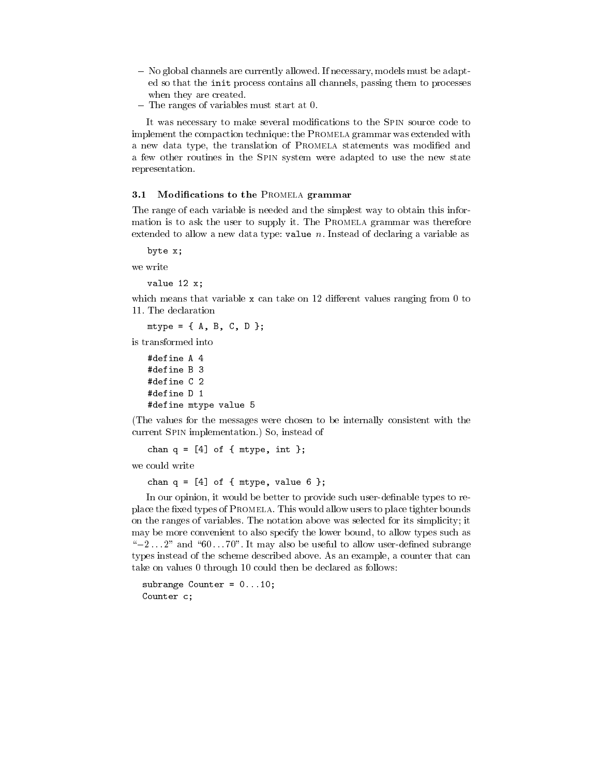- { No global channels are currently allowed. If necessary, models must be adapted so that the init process contains all channels, passing them to processes when they are created.
- { The ranges of variables must start at 0.

It was necessary to make several modications to the Spin source code to implement the compaction technique: the Promela grammar was extended with a new data type, the translation of Promela statements was modied and a few other routines in the Spin system were adapted to use the new state representation.

#### 3.1Modifications to the PROMELA grammar

The range of each variable is needed and the simplest way to obtain this information is to ask the user to supply it. The Promela grammar was therefore extended to allow a new data type: value  $n$ . Instead of declaring a variable as

byte x;

we write

value 12 x;

which means that variable  $x \text{ can take on } 12$  different values ranging from 0 to

 $mtype = \{ A, B, C, D \};$ 

is transformed into

```
#define A 4
#define B 3
#define C 2
#define D 1
#define mtype value 5
```
(The values for the messages were chosen to be internally consistent with the current Spin implementation.) So, instead of

chan  $q = [4]$  of  $\{$  mtype, int  $\};$ 

we could write

chan  $q = [4]$  of { mtype, value 6 };

In our opinion, it would be better to provide such user-definable types to replace the fixed types of PROMELA. This would allow users to place tighter bounds on the ranges of variables. The notation above was selected for its simplicity; it may be more convenient to also specify the lower bound, to allow types such as " $-2 \ldots 2$ " and "60...70". It may also be useful to allow user-defined subrange types instead of the scheme described above. As an example, a counter that can take on values 0 through 10 could then be declared as follows:

subrange Counter = 0...10; Counter c;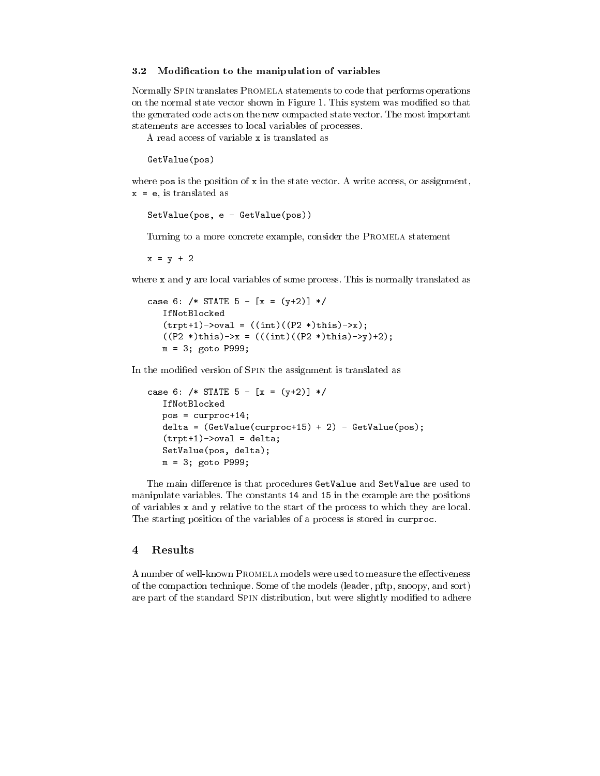### 3.2Modication to the manipulation of variables

Normally Spin translates Promela statements to code that performs operations on the normal state vector shown in Figure 1. This system was modied so that the generated code acts on the new compacted state vector. The most important statements are accesses to local variables of processes.

GetValue(pos)

where pos is the position of  $x$  in the state vector. A write access, or assignment,  $x = e$ , is translated as

```
SetValue(pos, e - GetValue(pos))
```
Turning to a more concrete example, consider the Promela statement

 $x = y + 2$ 

where x and y are local variables of some process. This is normally translated as

```
case 6: /* STATE 5 - [x = (y+2)] */
   IfNotBlocked
   (trpt+1)-\text{1} = ((int)((P2 *)this)-\{x\};((P2 *) \text{this})\rightarrow x = (((\text{int})((P2 *) \text{this})\rightarrow y)+2);m = 3; goto P999;
```
In the modified version of SPIN the assignment is translated as

```
case 6: /* STATE 5 - [x = (y+2)] */
  IfNotBlocked
  pos = curproc+14;
  delta = (GetValue(curpose+15) + 2) - GetValue(pos);(trpt+1)->oval = delta;
  SetValue(pos, delta);
  m = 3; goto P999;
```
The main difference is that procedures GetValue and SetValue are used to manipulate variables. The constants 14 and 15 in the example are the positions of variables x and y relative to the start of the process to which they are local. The starting position of the variables of a process is stored in curproc.

A number of well-known PROMELA models were used to measure the effectiveness of the compaction technique. Some of the models (leader, pftp, snoopy, and sort) are part of the standard SPIN distribution, but were slightly modified to adhere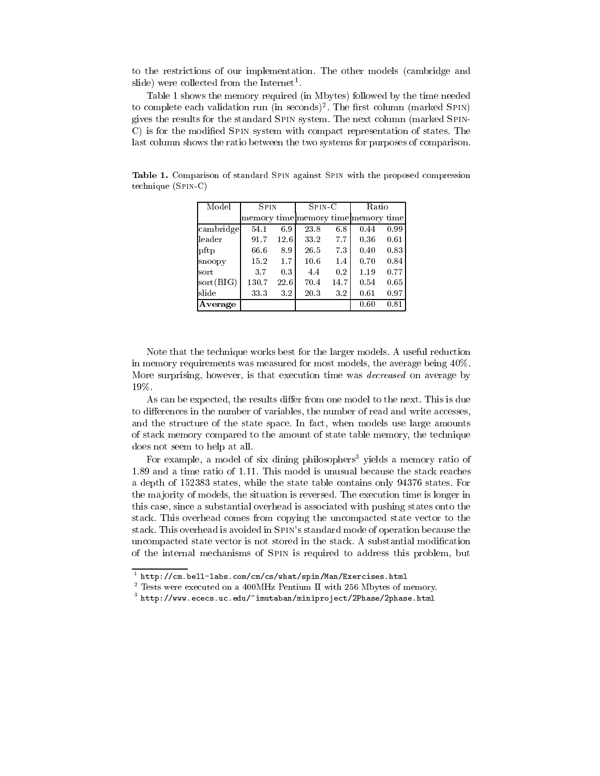to the restrictions of our implementation. The other models (cambridge and slide) were collected from the Internet<sup>1</sup>.

Table 1 shows the memory required (in Mbytes) followed by the time needed to complete each validation run (in seconds)". The lifst column (marked SPIN) gives the results for the standard Spin system. The next column (marked Spin- C) is for the modied Spin system with compact representation of states. The last column shows the ratio between the two systems for purposes of comparison.

| Model     | <b>SPIN</b> |      | SPIN-C                              |         | Ratio |      |  |
|-----------|-------------|------|-------------------------------------|---------|-------|------|--|
|           |             |      | memory time memory time memory time |         |       |      |  |
| cambridge | 54.1        | 6.9  | 23.8                                | 6.8     | 0.44  | 0.99 |  |
| leader    | 91.7        | 12.6 | 33.2                                | 7.7     | 0.36  | 0.61 |  |
| pftp      | 66.6        | 8.9  | 26.5                                | 73      | 0.40  | 0.83 |  |
| snoopy    | 15.2        | 1.7  | 10.6                                | $1.4\,$ | 0.70  | 0.84 |  |
| sort      | 3.7         | 0.3  | 4.4                                 | 0.2     | 1.19  | 0.77 |  |
| sort(BIG) | 130.7       | 22.6 | 70.4                                | 14.7    | 0.54  | 0.65 |  |
| slide     | 33.3        | 3.2  | 20.3                                | 3.2     | 0.61  | 0.97 |  |
| Average   |             |      |                                     |         | 0.60  | 0.81 |  |

Table 1. Comparison of standard Spin against Spin with the proposed compression technique (Spin-C)

Note that the technique works best for the larger models. A useful reduction in memory requirements was measured for most models, the average being 40%. More surprising, however, is that execution time was decreased on average by 19%.

As can be expected, the results differ from one model to the next. This is due to differences in the number of variables, the number of read and write accesses, and the structure of the state space. In fact, when models use large amounts of stack memory compared to the amount of state table memory, the technique does not seem to help at all.

For example, a model of six dining philosophers<sup>3</sup> yields a memory ratio of 1.89 and a time ratio of 1.11. This model is unusual because the stack reaches a depth of 152383 states, while the state table contains only 94376 states. For the ma jority of models, the situation is reversed. The execution time is longer in this case, since a substantial overhead is associated with pushing states onto the stack. This overhead comes from copying the uncompacted state vector to the stack. This overhead is avoided in Spin's standard mode of operation because the uncompacted state vector is not stored in the stack. A substantial modification of the internal mechanisms of Spin is required to address this problem, but

<sup>1</sup> http://cm.bell-labs.com/cm/cs/what/spin/Man/Exercises.html

<sup>2</sup> Tests were executed on a 400MHz Pentium II with 256 Mbytes of memory.

<sup>3</sup> http://www.ececs.uc.edu/~imutaban/miniproject/2Phase/2phase.html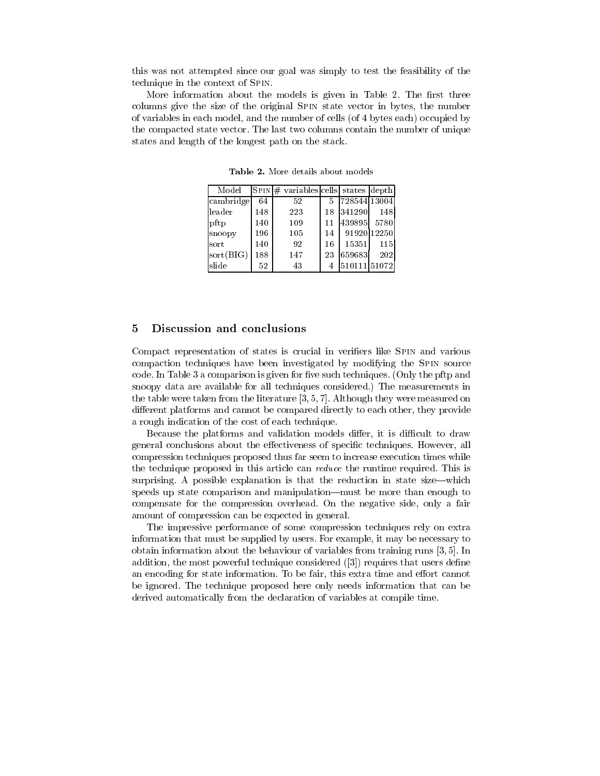this was not attempted since our goal was simply to test the feasibility of the technique in the context of Spin.

More information about the models is given in Table 2. The first three columns give the size of the original Spin state vector in bytes, the number of variables in each model, and the number of cells (of 4 bytes each) occupied by the compacted state vector. The last two columns contain the number of unique states and length of the longest path on the stack.

| Model     |     | $ SPIN $ variables cells states depth |    |              |      |
|-----------|-----|---------------------------------------|----|--------------|------|
| cambridge | 64  | 52                                    | 5  | 728544 13004 |      |
| leader    | 148 | 223                                   | 18 | 341290       | 148  |
| pftp      | 140 | 109                                   | 11 | 439895       | 5780 |
| snoopy    | 196 | 105                                   | 14 | 91920 12250  |      |
| sort      | 140 | 92                                    | 16 | 15351        | 115  |
| sort(BIG) | 188 | 147                                   | 23 | 659683       | 202  |
| slide     | 52  | 43                                    | 4  | 510111 51072 |      |

Table 2. More details about models

# 5Discussion and conclusions

Compact representation of states is crucial in veriers like Spin and various compaction techniques have been investigated by modifying the Spin source code. In Table 3 a comparison is given for five such techniques. (Only the pftp and snoopy data are available for all techniques considered.) The measurements in the table were taken from the literature [3, 5, 7]. Although they were measured on different platforms and cannot be compared directly to each other, they provide a rough indication of the cost of each technique.

Because the platforms and validation models differ, it is difficult to draw general conclusions about the effectiveness of specific techniques. However, all compression techniques proposed thus far seem to increase execution times while the technique proposed in this article can *reduce* the runtime required. This is surprising. A possible explanation is that the reduction in state size—which speeds up state comparison and manipulation—must be more than enough to compensate for the compression overhead. On the negative side, only a fair amount of compression can be expected in general.

The impressive performance of some compression techniques rely on extra information that must be supplied by users. For example, it may be necessary to obtain information about the behaviour of variables from training runs [3, 5]. In addition, the most powerful technique considered ([3]) requires that users define an encoding for state information. To be fair, this extra time and effort cannot be ignored. The technique proposed here only needs information that can be derived automatically from the declaration of variables at compile time.